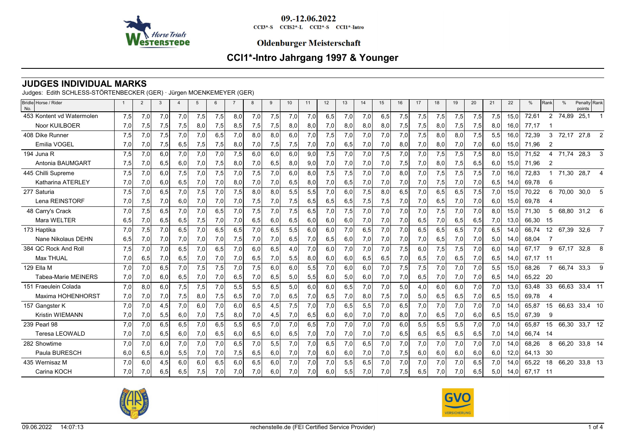

CCI3\*-S CCIS2\*-L CCI2\*-S CCI1\*-Intro

### **Oldenburger Meisterschaft**

# **CCI1\*-Intro Jahrgang 1997 & Younger**

## **JUDGES INDIVIDUAL MARKS**

Judges: Edith SCHLESS-STÖRTENBECKER (GER) · Jürgen MOENKEMEYER (GER)

| Bridle Horse / Rider<br>No. |     | $\overline{2}$ | 3   | $\overline{a}$ | 5   | 6   | $\overline{7}$ | -8  | 9   | 10  | 11  | 12  | 13  | 14  | 15  | 16  | 17  | 18  | 19  | 20  | 21  | 22   | %     | Rank                  | $\frac{0}{0}$ | Penalty Rank<br>points |                |
|-----------------------------|-----|----------------|-----|----------------|-----|-----|----------------|-----|-----|-----|-----|-----|-----|-----|-----|-----|-----|-----|-----|-----|-----|------|-------|-----------------------|---------------|------------------------|----------------|
| 453 Kontent vd Watermolen   | 7,5 | 7,0            | 7,0 | 7,0            | 7,5 | 7,5 | 8.0            | 7.0 | 7,5 | 7,0 | 7.0 | 6,5 | 7.0 | 7,0 | 6,5 | 7.5 | 7,5 | 7,5 | 7,5 | 7,5 | 7,5 | 15.0 | 72,61 | $\mathbf{2}^{\prime}$ | 74.89         | 25,1                   |                |
| Noor KUILBOER               | 7,0 | 7,5            | 7,5 | 7,5            | 8,0 | 7,5 | 8,5            | 7,5 | 7,5 | 8,0 | 8,0 | 7.0 | 8,0 | 8,0 | 8,0 | 7,5 | 7,5 | 8,0 | 7,5 | 7,5 | 8,0 | 16.0 | 77,17 |                       |               |                        |                |
| 408 Dike Runner             | 7,5 | 7,0            | 7,5 | 7,0            | 7,0 | 6,5 | 7,0            | 8.0 | 8.0 | 6,0 | 7,0 | 7,5 | 7,0 | 7,0 | 7,0 | 7,0 | 7,5 | 8,0 | 8,0 | 7,5 | 5,5 | 16.0 | 72,39 | 3                     | 72,17         | 27,8                   | $\overline{2}$ |
| Emilia VOGEL                | 7,0 | 7,0            | 7,5 | 6,5            | 7,5 | 7,5 | 8,0            | 7,0 | 7,5 | 7,5 | 7,0 | 7,0 | 6,5 | 7,0 | 7,0 | 8,0 | 7,0 | 8,0 | 7,0 | 7,0 | 6,0 | 15,0 | 71,96 | $\overline{2}$        |               |                        |                |
| 194 Juna R                  | 7,5 | 7,0            | 6.0 | 7,0            | 7,0 | 7,0 | 7,5            | 6.0 | 6.0 | 6,0 | 9.0 | 7,5 | 7,0 | 7,0 | 7,5 | 7,0 | 7,0 | 7,5 | 7,5 | 7,5 | 8,0 | 15.0 | 71.52 | 4                     | 71,74         | 28,3                   | 3              |
| Antonia BAUMGART            | 7,5 | 7,0            | 6,5 | 6,0            | 7,0 | 7,5 | 8,0            | 7,0 | 6,5 | 8,0 | 9,0 | 7,0 | 7,0 | 7,0 | 7,0 | 7,5 | 7,0 | 8,0 | 7,5 | 6,5 | 6,0 | 15,0 | 71,96 | 2                     |               |                        |                |
| 445 Chilli Supreme          | 7,5 | 7,0            | 6,0 | 7,5            | 7,0 | 7,5 | 7,0            | 7,5 | 7,0 | 6,0 | 8,0 | 7,5 | 7,5 | 7,0 | 7,0 | 8,0 | 7,0 | 7,5 | 7,5 | 7,5 | 7,0 | 16,0 | 72,83 |                       | 71,30         | 28,7                   | $\overline{4}$ |
| Katharina ATERLEY           | 7,0 | 7,0            | 6,0 | 6,5            | 7,0 | 7,0 | 8,0            | 7,0 | 7,0 | 6,5 | 8,0 | 7,0 | 6,5 | 7,0 | 7,0 | 7,0 | 7,0 | 7,5 | 7,0 | 7,0 | 6,5 | 14,0 | 69,78 | 6                     |               |                        |                |
| 277 Saturia                 | 7,5 | 7,0            | 6,5 | 7,0            | 7,5 | 7,0 | 7,5            | 8,0 | 8.0 | 5,5 | 5,5 | 7.0 | 6.0 | 7,5 | 8,0 | 6.5 | 7,0 | 6,5 | 6,5 | 7,5 | 7,0 | 15,0 | 70,22 | 6                     | 70,00         | 30,0                   | 5              |
| Lena REINSTORF              | 7,0 | 7,5            | 7,0 | 6,0            | 7,0 | 7,0 | 7,0            | 7,5 | 7,0 | 7,5 | 6,5 | 6,5 | 6,5 | 7,5 | 7,5 | 7,0 | 7,0 | 6,5 | 7,0 | 7,0 | 6,0 | 15,0 | 69,78 |                       |               |                        |                |
| 48 Carry's Crack            | 7.0 | 7,5            | 6,5 | 7,0            | 7,0 | 6,5 | 7,0            | 7,5 | 7.0 | 7,5 | 6.5 | 7.0 | 7,5 | 7,0 | 7,0 | 7.0 | 7,0 | 7,5 | 7,0 | 7.0 | 8,0 | 15.0 | 71.30 | 5                     | 68,80         | 31,2                   | 6              |
| Mara WELTER                 | 6,5 | 7,0            | 6,5 | 6,5            | 7,5 | 7,0 | 7,0            | 6,5 | 6,0 | 6,5 | 6,0 | 6,0 | 6,0 | 7,0 | 7,0 | 7,0 | 6,5 | 7,0 | 6,5 | 6,5 | 7,0 | 13,0 | 66,30 | -15                   |               |                        |                |
| 173 Haptika                 | 7.0 | 7,5            | 7.0 | 6,5            | 7.0 | 6,5 | 6.5            | 7.0 | 6.5 | 5,5 | 6.0 | 6.0 | 7,0 | 6.5 | 7.0 | 7.0 | 6.5 | 6.5 | 6.5 | 7.0 | 6,5 | 14.0 | 66.74 | 12 <sup>°</sup>       | 67,39         | 32,6                   | $\overline{7}$ |
| Nane Nikolaus DEHN          | 6,5 | 7,0            | 7,0 | 7,0            | 7,0 | 7,0 | 7,5            | 7,0 | 7,0 | 6,5 | 7,0 | 6,5 | 6,0 | 7,0 | 7,0 | 7,0 | 7,0 | 6,5 | 7,0 | 7,0 | 5,0 | 14,0 | 68,04 |                       |               |                        |                |
| 384 QC Rock And Roll        | 7,5 | 7,0            | 7,0 | 6,5            | 7,0 | 6,5 | 7,0            | 6,0 | 6,5 | 4,0 | 7,0 | 6.0 | 7,0 | 7,0 | 7,0 | 7,5 | 6,0 | 7,5 | 7,5 | 7,0 | 6,0 | 14,0 | 67,17 | 9                     | 67.17         | 32,8                   | 8              |
| <b>Max THUAL</b>            | 7,0 | 6,5            | 7,0 | 6,5            | 7,0 | 7,0 | 7,0            | 6,5 | 7,0 | 5,5 | 8,0 | 6,0 | 6,0 | 6,5 | 6,5 | 7,0 | 6,5 | 7,0 | 6,5 | 7,0 | 6,5 | 14.0 | 67.17 | -11                   |               |                        |                |
| 129 Ella M                  | 7,0 | 7,0            | 6,5 | 7,0            | 7,5 | 7,5 | 7,0            | 7,5 | 6.0 | 6,0 | 5,5 | 7,0 | 6,0 | 6,0 | 7,0 | 7,5 | 7,5 | 7,0 | 7,0 | 7,0 | 5,5 | 15,0 | 68,26 |                       | 66,74         | 33,3                   | $\mathbf{Q}$   |
| <b>Tabea-Marie MEINERS</b>  | 7,0 | 7,0            | 6,0 | 6,5            | 7,0 | 7,0 | 6,5            | 7,0 | 6,5 | 5,0 | 5,5 | 6,0 | 5,0 | 6,0 | 7,0 | 7,0 | 6,5 | 7,0 | 7,0 | 7,0 | 6,5 | 14.0 | 65,22 | - 20                  |               |                        |                |
| 151 Fraeulein Colada        | 7,0 | 8.0            | 6.0 | 7,5            | 7,5 | 7,0 | 5,5            | 5,5 | 6.5 | 5,0 | 6.0 | 6.0 | 6,5 | 7,0 | 7,0 | 5.0 | 4,0 | 6.0 | 6.0 | 7,0 | 7,0 | 13.0 | 63,48 | 33                    | 66,63         | 33,4 11                |                |
| Maxima HOHENHORST           | 7,0 | 7,0            | 7,0 | 7,5            | 8,0 | 7,5 | 6,5            | 7,0 | 7,0 | 6,5 | 7,0 | 6,5 | 7,0 | 8,0 | 7,5 | 7,0 | 5,0 | 6,5 | 6,5 | 7,0 | 6,5 | 15,0 | 69,78 | 4                     |               |                        |                |
| 157 Gangster K              | 7,0 | 7,0            | 4,5 | 7,0            | 6,0 | 7,0 | 6.0            | 6,5 | 4,5 | 7,5 | 7.0 | 7.0 | 6,5 | 5,5 | 7,0 | 6.5 | 7,0 | 7,0 | 7,0 | 7,0 | 7,0 | 14.0 | 65,87 | 15                    |               | 66,63 33,4 10          |                |
| <b>Kristin WIEMANN</b>      | 7,0 | 7,0            | 5,5 | 6,0            | 7,0 | 7,5 | 8,0            | 7,0 | 4,5 | 7,0 | 6,5 | 6,0 | 6,0 | 7,0 | 7,0 | 8,0 | 7,0 | 6,5 | 7,0 | 6,0 | 6,5 | 15,0 | 67,39 | 9                     |               |                        |                |
| 239 Pearl 98                | 7,0 | 7,0            | 6.5 | 6,5            | 7,0 | 6,5 | 5,5            | 6,5 | 7,0 | 7,0 | 6.5 | 7,0 | 7,0 | 7,0 | 7,0 | 6.0 | 5,5 | 5,5 | 5,5 | 7,0 | 7,0 | 14.0 | 65,87 | 15                    | 66,30         | 33,7 12                |                |
| <b>Teresa LEOWALD</b>       | 7,0 | 7,0            | 6,5 | 6,0            | 7,0 | 6,5 | 6,0            | 6,5 | 6,0 | 6,5 | 7,0 | 7,0 | 7,0 | 7,0 | 7,0 | 6,5 | 6,5 | 6,5 | 6,5 | 6,5 | 7,0 | 14,0 | 66,74 | -14                   |               |                        |                |
| 282 Showtime                | 7,0 | 7,0            | 6.0 | 7,0            | 7,0 | 7,0 | 6,5            | 7,0 | 5,5 | 7,0 | 7.0 | 6,5 | 7,0 | 6,5 | 7,0 | 7.0 | 7,0 | 7,0 | 7,0 | 7,0 | 7,0 | 14.0 | 68,26 | 8                     | 66,20         | 33,8 14                |                |
| Paula BURESCH               | 6,0 | 6,5            | 6,0 | 5,5            | 7,0 | 7,0 | 7,5            | 6,5 | 6,0 | 7,0 | 7,0 | 6,0 | 6,0 | 7,0 | 7,0 | 7,5 | 6,0 | 6,0 | 6,0 | 6,0 | 6,0 | 12,0 | 64,13 | - 30                  |               |                        |                |
| 435 Wernisaz M              | 7,0 | 6,0            | 4,5 | 6,0            | 6,0 | 6,5 | 6,0            | 6,5 | 6,0 | 7,0 | 7,0 | 7,0 | 5,5 | 6,5 | 7,0 | 7,0 | 7,0 | 7,0 | 7,0 | 6,5 | 7,0 | 14,0 | 65,22 | 18                    | 66,20         | 33,8 13                |                |
| Carina KOCH                 | 7,0 | 7,0            | 6,5 | 6,5            | 7,5 | 7,0 | 7,0            | 7,0 | 6,0 | 7,0 | 7,0 | 6.0 | 5,5 | 7,0 | 7,0 | 7,5 | 6,5 | 7,0 | 7,0 | 6,5 | 5,0 | 14,0 | 67,17 | - 11                  |               |                        |                |



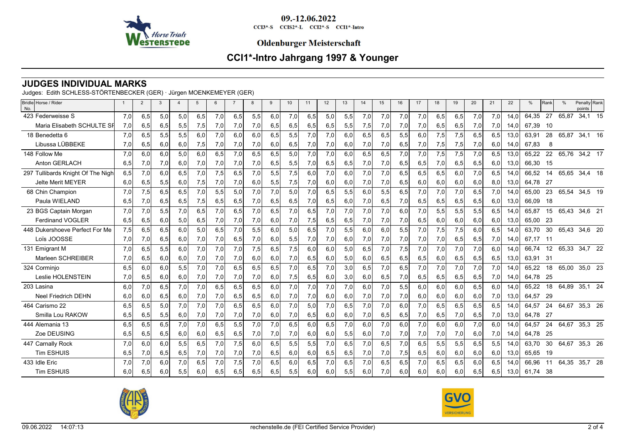

CCI3\*-S CCIS2\*-L CCI2\*-S CCI1\*-Intro

### **Oldenburger Meisterschaft**

# **CCI1\*-Intro Jahrgang 1997 & Younger**

## **JUDGES INDIVIDUAL MARKS**

Judges: Edith SCHLESS-STÖRTENBECKER (GER) · Jürgen MOENKEMEYER (GER)

| Bridle Horse / Rider<br>No.       |     | $\overline{2}$ | 3   | $\overline{\mathbf{4}}$ | 5   | 6   | $\overline{7}$ | 8   | 9   | 10 <sup>1</sup> | 11  | 12  | 13  | 14  | 15  | 16  | 17  | 18  | 19  | 20  | 21  | 22   | %        | Rank | $\frac{0}{0}$ | Penalty Rank<br>points |  |
|-----------------------------------|-----|----------------|-----|-------------------------|-----|-----|----------------|-----|-----|-----------------|-----|-----|-----|-----|-----|-----|-----|-----|-----|-----|-----|------|----------|------|---------------|------------------------|--|
| 423 Federweisse S                 | 7.0 | 6,5            | 5,0 | 5,0                     | 6.5 | 7,0 | 6,5            | 5,5 | 6.0 | 7,0             | 6.5 | 5,0 | 5,5 | 7,0 | 7,0 | 7.0 | 7,0 | 6,5 | 6.5 | 7,0 | 7,0 | 14.0 | 64.35    | 27   | 65,87         | 34,1 15                |  |
| Maria Elisabeth SCHULTE SF        | 7,0 | 6,5            | 6,5 | 5,5                     | 7,5 | 7,0 | 7,0            | 7,0 | 6,5 | 6,5             | 6,5 | 6,5 | 5,5 | 7,5 | 7,0 | 7,0 | 7,0 | 6,5 | 6,5 | 7,0 | 7,0 | 14.0 | 67.39    | - 10 |               |                        |  |
| 18 Benedetta 6                    | 7,0 | 6,5            | 5,5 | 5,5                     | 6.0 | 7,0 | 6.0            | 6.0 | 6.5 | 5,5             | 7,0 | 7.0 | 6,0 | 6,5 | 6,5 | 5,5 | 6.0 | 7,5 | 7,5 | 6.5 | 6,5 | 13.0 | 63.91    | 28   | 65,87         | 34,1 16                |  |
| Libussa LÜBBEKE                   | 7,0 | 6,5            | 6,0 | 6,0                     | 7,5 | 7,0 | 7,0            | 7,0 | 6,0 | 6,5             | 7,0 | 7,0 | 6,0 | 7,0 | 7,0 | 6,5 | 7,0 | 7,5 | 7,5 | 7,0 | 6,0 | 14.0 | 67.83    | 8    |               |                        |  |
| 148 Follow Me                     | 7,0 | 6,0            | 6.0 | 5,0                     | 6.0 | 6,5 | 7,0            | 6,5 | 6,5 | 5,0             | 7,0 | 7,0 | 6.0 | 6,5 | 6,5 | 7,0 | 7,0 | 7,5 | 7,5 | 7,0 | 6,5 | 13,0 | 65.22    | 22   | 65,76         | 34,2 17                |  |
| Anton GERLACH                     | 6,5 | 7,0            | 7,0 | 6,0                     | 7,0 | 7,0 | 7,0            | 7,0 | 6,5 | 5,5             | 7,0 | 6,5 | 6,5 | 7,0 | 7,0 | 6,5 | 6,5 | 7,0 | 6,5 | 6,5 | 6,0 | 13.0 | 66.30 15 |      |               |                        |  |
| 297 Tullibards Knight Of The Nigh | 6,5 | 7,0            | 6,0 | 6,5                     | 7.0 | 7,5 | 6.5            | 7.0 | 5.5 | 7,5             | 6.0 | 7.0 | 6.0 | 7,0 | 7,0 | 6.5 | 6,5 | 6.5 | 6.0 | 7,0 | 6.5 | 14.0 | 66.52    | 14   | 65,65         | 34,4 18                |  |
| <b>Jelte Merit MEYER</b>          | 6,0 | 6,5            | 5,5 | 6,0                     | 7,5 | 7,0 | 7,0            | 6,0 | 5,5 | 7,5             | 7,0 | 6,0 | 6,0 | 7,0 | 7,0 | 6,5 | 6,0 | 6,0 | 6,0 | 6,0 | 8,0 | 13,0 | 64,78    | 27   |               |                        |  |
| 68 Chin Champion                  | 7.0 | 7,5            | 6,5 | 6,5                     | 7.0 | 5,5 | 5.0            | 7.0 | 7.0 | 5.0             | 7.0 | 6.5 | 5.5 | 6.0 | 5,5 | 6.5 | 7,0 | 7,0 | 7,0 | 6.5 | 7,0 | 14.0 | 65.00    | 23   | 65.54         | 34,5 19                |  |
| Paula WIELAND                     | 6,5 | 7,0            | 6,5 | 6,5                     | 7,5 | 6,5 | 6,5            | 7,0 | 6,5 | 6,5             | 7,0 | 6,5 | 6,0 | 7,0 | 6,5 | 7,0 | 6,5 | 6,5 | 6,5 | 6,5 | 6,0 | 13,0 | 66.09    | - 18 |               |                        |  |
| 23 BGS Captain Morgan             | 7,0 | 7,0            | 5,5 | 7,0                     | 6,5 | 7,0 | 6,5            | 7,0 | 6,5 | 7,0             | 6,5 | 7.0 | 7,0 | 7,0 | 7,0 | 6,0 | 7,0 | 5,5 | 5,5 | 5,5 | 6,5 | 14.0 | 65,87    | 15   | 65,43         | 34,6 21                |  |
| <b>Ferdinand VOGLER</b>           | 6,5 | 6,5            | 6,0 | 5,0                     | 6,5 | 7,0 | 7,0            | 7,0 | 6,0 | 7,0             | 7,5 | 6,5 | 6,5 | 7,0 | 7,0 | 7,0 | 6,5 | 6,0 | 6,0 | 6,0 | 6,0 | 13,0 | 65.00    | - 23 |               |                        |  |
| 448 Dukershoeve Perfect For Me    | 7,5 | 6,5            | 6,5 | 6,0                     | 5.0 | 6,5 | 7,0            | 5,5 | 6.0 | 5,0             | 6.5 | 7.0 | 5,5 | 6,0 | 6.0 | 5,5 | 7,0 | 7,5 | 7,5 | 6.0 | 6,5 | 14.0 | 63,70    | 30   | 65,43 34,6 20 |                        |  |
| Loïs JOOSSE                       | 7,0 | 7,0            | 6,5 | 6,0                     | 7,0 | 7,0 | 6,5            | 7,0 | 6,0 | 5,5             | 7,0 | 7,0 | 6,0 | 7,0 | 7,0 | 7,0 | 7,0 | 7,0 | 6,5 | 6,5 | 7,0 | 14.0 | 67.17 11 |      |               |                        |  |
| 131 Emigrant M                    | 7,0 | 6,5            | 5,5 | 6,0                     | 7,0 | 7,0 | 7,0            | 7,5 | 6,5 | 7,5             | 6.0 | 6.0 | 5,0 | 6,5 | 7,0 | 7,5 | 7,0 | 7,0 | 7,0 | 7,0 | 6,0 | 14.0 | 66.74    | 12   | 65,33 34,7 22 |                        |  |
| Marleen SCHREIBER                 | 7,0 | 6,5            | 6,0 | 6,0                     | 7,0 | 7,0 | 7,0            | 6,0 | 6,0 | 7,0             | 6,5 | 6,0 | 5,0 | 6,0 | 6,5 | 6,5 | 6,5 | 6,0 | 6,5 | 6,5 | 6,5 | 13,0 | 63,91    | 31   |               |                        |  |
| 324 Corminjo                      | 6,5 | 6,0            | 6,0 | 5,5                     | 7.0 | 7,0 | 6.5            | 6,5 | 6.5 | 7,0             | 6.5 | 7.0 | 3,0 | 6,5 | 7,0 | 6,5 | 7,0 | 7,0 | 7,0 | 7,0 | 7,0 | 14.0 | 65.22    | 18   | 65,00 35,0 23 |                        |  |
| Leslie HOLENSTEIN                 | 7,0 | 6,5            | 6,0 | 6,0                     | 7,0 | 7,0 | 7,0            | 7,0 | 6,0 | 7,5             | 6,5 | 6,0 | 3,0 | 6,0 | 6,5 | 7,0 | 6,5 | 6,5 | 6,5 | 6,5 | 7,0 | 14,0 | 64,78    | - 25 |               |                        |  |
| 203 Lasina                        | 6,0 | 7,0            | 6,5 | 7,0                     | 7,0 | 6,5 | 6,5            | 6,5 | 6,0 | 7,0             | 7,0 | 7,0 | 7,0 | 6,0 | 7,0 | 5,5 | 6,0 | 6,0 | 6,0 | 6,5 | 6,0 | 14,0 | 65,22    | 18   | 64,89         | 35,1 24                |  |
| <b>Neel Friedrich DEHN</b>        | 6,0 | 6,0            | 6,5 | 6,0                     | 7,0 | 7,0 | 6,5            | 6,5 | 6,0 | 7,0             | 7,0 | 6,0 | 6,0 | 7,0 | 7,0 | 7,0 | 6,0 | 6,0 | 6,0 | 6,0 | 7,0 | 13.0 | 64.57    | -29  |               |                        |  |
| 464 Carismo 22                    | 6,5 | 6,5            | 5.0 | 7,0                     | 7,0 | 7,0 | 6.5            | 6,5 | 6.0 | 7,0             | 5.0 | 7.0 | 6.5 | 7,0 | 7,0 | 6.0 | 7,0 | 6.5 | 6.5 | 6.5 | 6.5 | 14.0 | 64,57    | 24   | 64,67 35,3 26 |                        |  |
| Smilla Lou RAKOW                  | 6,5 | 6,5            | 5,5 | 6,0                     | 7,0 | 7,0 | 7,0            | 7,0 | 6,0 | 7,0             | 6,5 | 6,0 | 6,0 | 7,0 | 6,5 | 6,5 | 7,0 | 6,5 | 7,0 | 6,5 | 7,0 | 13,0 | 64.78    | -27  |               |                        |  |
| 444 Alemania 13                   | 6,5 | 6,5            | 6,5 | 7,0                     | 7.0 | 6,5 | 5,5            | 7.0 | 7.0 | 6,5             | 6.0 | 6,5 | 7,0 | 6.0 | 7,0 | 6.0 | 7,0 | 6.0 | 6.0 | 7,0 | 6,0 | 14.0 | 64.57    | 24   | 64,67         | 35,3 25                |  |
| Zoe DEUSING                       | 6,5 | 6,5            | 6,5 | 6,0                     | 6,0 | 6,5 | 6,5            | 7,0 | 7,0 | 7,0             | 6,0 | 6,0 | 5,5 | 6,0 | 7,0 | 7,0 | 7,0 | 7,0 | 7,0 | 6,0 | 7,0 | 14,0 | 64,78    | -25  |               |                        |  |
| 447 Carnally Rock                 | 7,0 | 6,0            | 6.0 | 5,5                     | 6,5 | 7,0 | 7,5            | 6,0 | 6,5 | 5,5             | 5,5 | 7,0 | 6,5 | 7,0 | 6,5 | 7,0 | 6,5 | 5,5 | 5,5 | 6,5 | 5,5 | 14.0 | 63,70    | 30   | 64,67         | 35,3 26                |  |
| <b>Tim ESHUIS</b>                 | 6,5 | 7,0            | 6,5 | 6,5                     | 7,0 | 7,0 | 7,0            | 7,0 | 6,5 | 6,0             | 6,0 | 6,5 | 6,5 | 7,0 | 7,0 | 7,5 | 6,5 | 6,0 | 6,0 | 6,0 | 6,0 | 13.0 | 65.65    | - 19 |               |                        |  |
| 433 Idle Eric                     | 7,0 | 7,0            | 6.0 | 7,0                     | 6.5 | 7,0 | 7,5            | 7.0 | 6.5 | 6.0             | 6.5 | 7.0 | 6.5 | 7.0 | 6,5 | 6.5 | 7.0 | 6.5 | 6.5 | 6.0 | 6,5 | 14.0 | 66.96    | -11  | 64,35 35,7 28 |                        |  |
| <b>Tim ESHUIS</b>                 | 6.0 | 6,5            | 6.0 | 5,5                     | 6.0 | 6,5 | 6,5            | 6,5 | 6,5 | 5,5             | 6,0 | 6.0 | 5,5 | 6,0 | 7,0 | 6.0 | 6,0 | 6,0 | 6.0 | 6,5 | 6,5 | 13,0 | 61.74    | - 38 |               |                        |  |



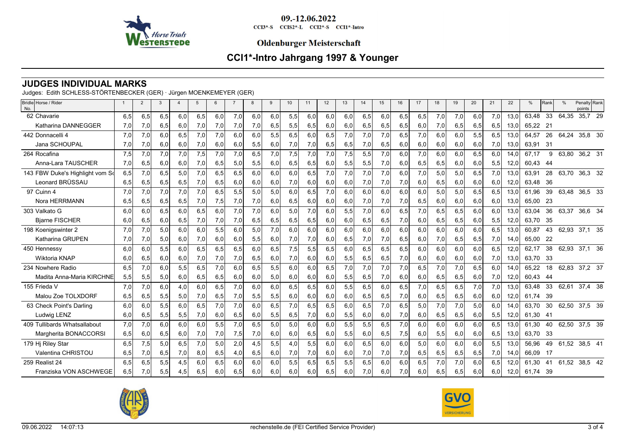

CCI3\*-S CCIS2\*-L CCI2\*-S CCI1\*-Intro

### **Oldenburger Meisterschaft**

# **CCI1\*-Intro Jahrgang 1997 & Younger**

## **JUDGES INDIVIDUAL MARKS**

Judges: Edith SCHLESS-STÖRTENBECKER (GER) · Jürgen MOENKEMEYER (GER)

| Bridle Horse / Rider<br>No.     |     | $\overline{2}$ | 3   | $\overline{4}$ | 5   | 6   | $\overline{7}$ | 8   | 9   | 10  | 11  | 12  | 13  | 14  | 15  | 16   | 17  | 18  | 19  | 20  | 21  | 22   | %     | Rank | $\frac{0}{0}$ | Penalty Rank<br>points |  |
|---------------------------------|-----|----------------|-----|----------------|-----|-----|----------------|-----|-----|-----|-----|-----|-----|-----|-----|------|-----|-----|-----|-----|-----|------|-------|------|---------------|------------------------|--|
| 62 Chavarie                     | 6,5 | 6,5            | 6,5 | 6,0            | 6,5 | 6,0 | 7,0            | 6,0 | 6.0 | 5,5 | 6.0 | 6.0 | 6.0 | 6,5 | 6,0 | 6,5  | 6,5 | 7,0 | 7,0 | 6,0 | 7,0 | 13.0 | 63.48 | 33   | 64,35         | 35,7 29                |  |
| Katharina DANNEGGER             | 7,0 | 7,0            | 6,5 | 6,0            | 7,0 | 7,0 | 7,0            | 7,0 | 6,5 | 5,5 | 6,5 | 6,0 | 6,0 | 6,5 | 6,5 | 6,5  | 6,0 | 7,0 | 6,5 | 6,5 | 6,5 | 13.0 | 65.22 | 21   |               |                        |  |
| 442 Donnacelli 4                | 7.0 | 7,0            | 6.0 | 6,5            | 7,0 | 7,0 | 6.0            | 6,0 | 5.5 | 6,5 | 6.0 | 6,5 | 7,0 | 7,0 | 7,0 | 6,5  | 7,0 | 6.0 | 6,0 | 5.5 | 6,5 | 13,0 | 64,57 | 26   | 64,24         | 35,8 30                |  |
| Jana SCHOUPAL                   | 7,0 | 7,0            | 6,0 | 6,0            | 7,0 | 6,0 | 6,0            | 5,5 | 6,0 | 7,0 | 7,0 | 6,5 | 6,5 | 7,0 | 6,5 | 6,0  | 6,0 | 6,0 | 6,0 | 6,0 | 7,0 | 13,0 | 63,91 | - 31 |               |                        |  |
| 264 Rocafina                    | 7,5 | 7,0            | 7,0 | 7,0            | 7,5 | 7,0 | 7,0            | 6,5 | 7,0 | 7,5 | 7,0 | 7,0 | 7,5 | 5,5 | 7,0 | 6,0  | 7,0 | 6,0 | 6,0 | 6,5 | 6,0 | 14.0 | 67.17 | 9    | 63,80         | 36,2 31                |  |
| Anna-Lara TAUSCHER              | 7,0 | 6,5            | 6,0 | 6,0            | 7,0 | 6,5 | 5,0            | 5,5 | 6,0 | 6,5 | 6,5 | 6,0 | 5,5 | 5,5 | 7,0 | 6,0  | 6,5 | 6,5 | 6,0 | 6,0 | 5,5 | 12,0 | 60,43 | -44  |               |                        |  |
| 143 FBW Duke's Highlight vom So | 6,5 | 7,0            | 6,5 | 5,0            | 7.0 | 6,5 | 6.5            | 6.0 | 6.0 | 6.0 | 6.5 | 7.0 | 7,0 | 7,0 | 7,0 | 6.0  | 7,0 | 5.0 | 5,0 | 6,5 | 7,0 | 13.0 | 63.91 | 28   | 63.70         | 36,3 32                |  |
| Leonard BRÜSSAU                 | 6,5 | 6,5            | 6,5 | 6,5            | 7,0 | 6,5 | 6,0            | 6,0 | 6,0 | 7,0 | 6,0 | 6,0 | 6,0 | 7,0 | 7,0 | 7,0  | 6,0 | 6,5 | 6,0 | 6,0 | 6,0 | 12,0 | 63,48 | 36   |               |                        |  |
| 97 Cuinn 4                      | 7,0 | 7,0            | 7,0 | 7,0            | 7.0 | 6,5 | 5,5            | 5,0 | 5.0 | 6.0 | 6.5 | 7.0 | 6.0 | 6.0 | 6.0 | 6.0  | 6,0 | 5.0 | 5,0 | 6.5 | 6.5 | 13.0 | 61.96 | 39   | 63,48         | 36,5 33                |  |
| Nora HERRMANN                   | 6,5 | 6,5            | 6,5 | 6,5            | 7,0 | 7,5 | 7,0            | 7,0 | 6,0 | 6,5 | 6,0 | 6,0 | 6,0 | 7,0 | 7,0 | 7,0  | 6,5 | 6,0 | 6,0 | 6,0 | 6,0 | 13,0 | 65.00 | - 23 |               |                        |  |
| 303 Valkato G                   | 6,0 | 6,0            | 6,5 | 6,0            | 6,5 | 6,0 | 7,0            | 7,0 | 6,0 | 5,0 | 7,0 | 6,0 | 5,5 | 7,0 | 6,0 | 6,5  | 7,0 | 6.5 | 6,5 | 6,0 | 6,0 | 13.0 | 63,04 | 36   | 63,37         | 36,6 34                |  |
| <b>Bjarne FISCHER</b>           | 6,0 | 6,5            | 6,0 | 6,5            | 7,0 | 7,0 | 7,0            | 6,5 | 6,5 | 6,5 | 6,5 | 6,0 | 6,0 | 6,5 | 6,5 | 7,0  | 6,0 | 6,5 | 6,5 | 6,0 | 5,5 | 12,0 | 63.70 | - 35 |               |                        |  |
| 198 Koenigswinter 2             | 7.0 | 7,0            | 5,0 | 6,0            | 6.0 | 5,5 | 6.0            | 5,0 | 7.0 | 6,0 | 6.0 | 6.0 | 6.0 | 6,0 | 6,0 | 6.0  | 6,0 | 6.0 | 6.0 | 6.0 | 6,5 | 13.0 | 60,87 | 43   | 62,93 37,1 35 |                        |  |
| <b>Katharina GRUPEN</b>         | 7,0 | 7,0            | 5,0 | 6,0            | 7,0 | 6,0 | 6,0            | 5,5 | 6,0 | 7,0 | 7,0 | 6,0 | 6,5 | 7,0 | 7,0 | 6,5  | 6,0 | 7,0 | 6,5 | 6,5 | 7,0 | 14.0 | 65.00 | -22  |               |                        |  |
| 450 Hennessy                    | 6.0 | 6,0            | 5,5 | 6,0            | 6,5 | 6,5 | 6,5            | 6,0 | 6,5 | 7,5 | 5,5 | 6,5 | 6,0 | 6,5 | 6,5 | 6,5  | 6,0 | 6.0 | 6,0 | 6.0 | 6,5 | 12,0 | 62,17 | 38   | 62,93         | 37,1 36                |  |
| Wiktoria KNAP                   | 6,0 | 6,5            | 6,0 | 6,0            | 7,0 | 7,0 | 7,0            | 6,5 | 6,0 | 7,0 | 6,0 | 6,0 | 5,5 | 6,5 | 6,5 | 7,0  | 6,0 | 6,0 | 6,0 | 6,0 | 7,0 | 13,0 | 63,70 | -33  |               |                        |  |
| 234 Nowhere Radio               | 6.5 | 7,0            | 6,0 | 5,5            | 6,5 | 7,0 | 6.0            | 6,5 | 5,5 | 6,0 | 6.0 | 6,5 | 7,0 | 7,0 | 7,0 | 7,0  | 6,5 | 7,0 | 7,0 | 6.5 | 6.0 | 14.0 | 65.22 | 18   | 62,83 37,2 37 |                        |  |
| Madita Anna-Maria KIRCHNE       | 5,5 | 5,5            | 5,0 | 6,0            | 6,5 | 6,5 | 6,0            | 6,0 | 5,0 | 6,0 | 6,0 | 6,0 | 5,5 | 6,5 | 7,0 | 6,0  | 6,0 | 6,5 | 6,5 | 6,0 | 7,0 | 12,0 | 60,43 | - 44 |               |                        |  |
| 155 Frieda V                    | 7,0 | 7,0            | 6,0 | 4,0            | 6,0 | 6,5 | 7,0            | 6,0 | 6,0 | 6,5 | 6,5 | 6,0 | 5,5 | 6,5 | 6,0 | 6,5  | 7,0 | 6,5 | 6,5 | 7,0 | 7,0 | 13,0 | 63,48 | 33   | 62,61         | 37,4 38                |  |
| Malou Zoe TOLXDORF              | 6,5 | 6,5            | 5,5 | 5,0            | 7,0 | 6,5 | 7,0            | 5,5 | 5,5 | 6,0 | 6,0 | 6,0 | 6,0 | 6,5 | 6,5 | 7,0  | 6,0 | 6,5 | 6,5 | 6,0 | 6,0 | 12,0 | 61,74 | 39   |               |                        |  |
| 63 Check Point's Darling        | 6,0 | 6,0            | 5,5 | 6,0            | 6,5 | 7,0 | 7,0            | 6.0 | 6,5 | 7,0 | 6.5 | 6,5 | 6,0 | 6,5 | 7,0 | 6, 5 | 5,0 | 7,0 | 7,0 | 5,0 | 6,0 | 14.0 | 63,70 | 30   | 62,50 37,5 39 |                        |  |
| Ludwig LENZ                     | 6,0 | 6,5            | 5,5 | 5,5            | 7,0 | 6,0 | 6,5            | 6,0 | 5,5 | 6,5 | 7,0 | 6,0 | 5,5 | 6,0 | 6,0 | 7,0  | 6,0 | 6,5 | 6,5 | 6,0 | 5,5 | 12,0 | 61,30 | -41  |               |                        |  |
| 409 Tullibards Whatsallabout    | 7,0 | 7,0            | 6.0 | 6,0            | 6,0 | 5,5 | 7,0            | 6,5 | 5,0 | 5,0 | 6.0 | 6,0 | 5,5 | 5,5 | 6,5 | 7.0  | 6,0 | 6,0 | 6.0 | 6,0 | 6,5 | 13.0 | 61.30 | 40   | 62,50         | 37,5 39                |  |
| Margherita BONACCORSI           | 6,5 | 6,0            | 6,5 | 6,0            | 7,0 | 7,0 | 7,5            | 7,0 | 6,0 | 6,0 | 6,5 | 6,0 | 5,5 | 6,0 | 6,5 | 7,5  | 6,0 | 5,5 | 6,0 | 6,0 | 6,5 | 13,0 | 63,70 | -33  |               |                        |  |
| 179 Hj Riley Star               | 6,5 | 7,5            | 5,0 | 6,5            | 7,0 | 5,0 | 2,0            | 4,5 | 5,5 | 4,0 | 5,5 | 6,0 | 6.0 | 6,5 | 6,0 | 6,0  | 5,0 | 6,0 | 6.0 | 6,0 | 5,5 | 13,0 | 56,96 | 49   | 61,52         | 38,5 41                |  |
| Valentina CHRISTOU              | 6,5 | 7,0            | 6,5 | 7,0            | 8,0 | 6,5 | 4,0            | 6,5 | 6,0 | 7,0 | 7,0 | 6.0 | 6,0 | 7,0 | 7,0 | 7,0  | 6,5 | 6,5 | 6,5 | 6,5 | 7,0 | 14.0 | 66.09 | - 17 |               |                        |  |
| 259 Realist 24                  | 6.5 | 6,5            | 5,5 | 4,5            | 6.0 | 6,5 | 6.0            | 6.0 | 6.0 | 5,5 | 6.5 | 6,5 | 5,5 | 6.5 | 6,0 | 6.0  | 6,5 | 7,0 | 7,0 | 6.0 | 6,5 | 12.0 | 61.30 | 41   | 61,52         | 38,5 42                |  |
| Franziska VON ASCHWEGE          | 6,5 | 7,0            | 5,5 | 4,5            | 6,5 | 6.0 | 6.5            | 6.0 | 6.0 | 6,0 | 6.0 | 6.5 | 6.0 | 7,0 | 6,0 | 7,0  | 6,0 | 6,5 | 6,5 | 6,0 | 6,0 | 12,0 | 61.74 | - 39 |               |                        |  |